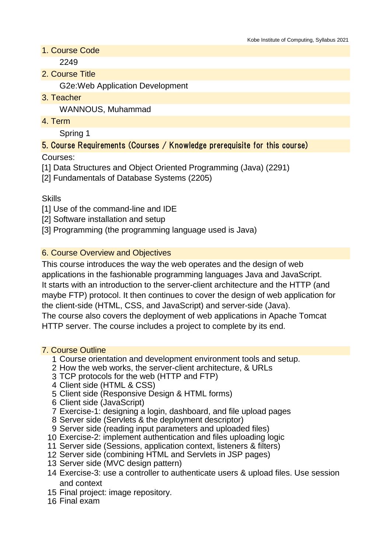1. Course Code

2249

2. Course Title

G2e:Web Application Development

3. Teacher

WANNOUS, Muhammad

4. Term

Spring 1

# 5. Course Requirements (Courses / Knowledge prerequisite for this course)

Courses:

[1] Data Structures and Object Oriented Programming (Java) (2291)

[2] Fundamentals of Database Systems (2205)

Skills

[1] Use of the command-line and IDE

[2] Software installation and setup

[3] Programming (the programming language used is Java)

## 6. Course Overview and Objectives

This course introduces the way the web operates and the design of web applications in the fashionable programming languages Java and JavaScript. It starts with an introduction to the server-client architecture and the HTTP (and maybe FTP) protocol. It then continues to cover the design of web application for the client-side (HTML, CSS, and JavaScript) and server-side (Java). The course also covers the deployment of web applications in Apache Tomcat HTTP server. The course includes a project to complete by its end.

#### 7. Course Outline

- 1 Course orientation and development environment tools and setup.
- 2 How the web works, the server-client architecture, & URLs
- 3 TCP protocols for the web (HTTP and FTP)
- 4 Client side (HTML & CSS)
- 5 Client side (Responsive Design & HTML forms)
- 6 Client side (JavaScript)
- 7 Exercise-1: designing a login, dashboard, and file upload pages
- 8 Server side (Servlets & the deployment descriptor)
- 9 Server side (reading input parameters and uploaded files)
- 10 Exercise-2: implement authentication and files uploading logic
- 11 Server side (Sessions, application context, listeners & filters)
- 12 Server side (combining HTML and Servlets in JSP pages)
- 13 Server side (MVC design pattern)
- 14 Exercise-3: use a controller to authenticate users & upload files. Use session and context
- 15 Final project: image repository.
- 16 Final exam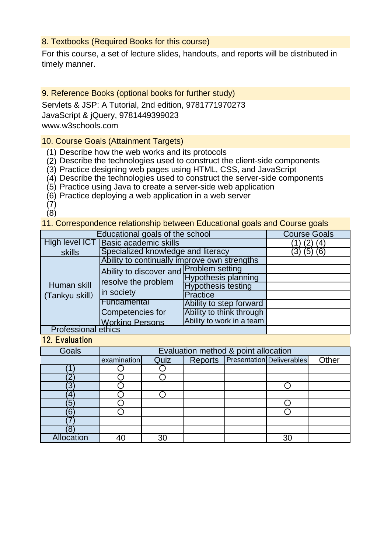### 8. Textbooks (Required Books for this course)

For this course, a set of lecture slides, handouts, and reports will be distributed in timely manner.

### 9. Reference Books (optional books for further study)

Servlets & JSP: A Tutorial, 2nd edition, 9781771970273 JavaScript & jQuery, 9781449399023 www.w3schools.com

### 10. Course Goals (Attainment Targets)

- (1) Describe how the web works and its protocols
- (2) Describe the technologies used to construct the client-side components
- (3) Practice designing web pages using HTML, CSS, and JavaScript
- (4) Describe the technologies used to construct the server-side components
- (5) Practice using Java to create a server-side web application
- (6) Practice deploying a web application in a web server
- (7)
- $(8)$

11. Correspondence relationship between Educational goals and Course goals

| Educational goals of the school | <b>Course Goals</b>                                                          |                            |  |  |  |  |
|---------------------------------|------------------------------------------------------------------------------|----------------------------|--|--|--|--|
| High level ICT                  | <b>Basic academic skills</b>                                                 | 4                          |  |  |  |  |
| skills                          | Specialized knowledge and literacy                                           |                            |  |  |  |  |
| Human skill<br>(Tankyu skill)   | Ability to continually improve own strengths                                 |                            |  |  |  |  |
|                                 | Ability to discover and Problem setting<br>resolve the problem<br>in society |                            |  |  |  |  |
|                                 |                                                                              | <b>Hypothesis planning</b> |  |  |  |  |
|                                 |                                                                              | <b>Hypothesis testing</b>  |  |  |  |  |
|                                 |                                                                              | <b>Practice</b>            |  |  |  |  |
|                                 | Fundamental                                                                  | Ability to step forward    |  |  |  |  |
|                                 | Competencies for                                                             | Ability to think through   |  |  |  |  |
|                                 | <b>Working Persons</b>                                                       | Ability to work in a team  |  |  |  |  |
| <b>Professional ethics</b>      |                                                                              |                            |  |  |  |  |

#### 12. Evaluation

| <b>Goals</b> | Evaluation method & point allocation |      |  |                                   |       |
|--------------|--------------------------------------|------|--|-----------------------------------|-------|
|              | examination                          | Quiz |  | Reports Presentation Deliverables | Other |
|              |                                      |      |  |                                   |       |
|              |                                      |      |  |                                   |       |
| ົດ           |                                      |      |  |                                   |       |
| 4            |                                      |      |  |                                   |       |
| ΄5           |                                      |      |  |                                   |       |
| ้ค           |                                      |      |  |                                   |       |
|              |                                      |      |  |                                   |       |
|              |                                      |      |  |                                   |       |
| Allocation   |                                      | 30   |  | 30                                |       |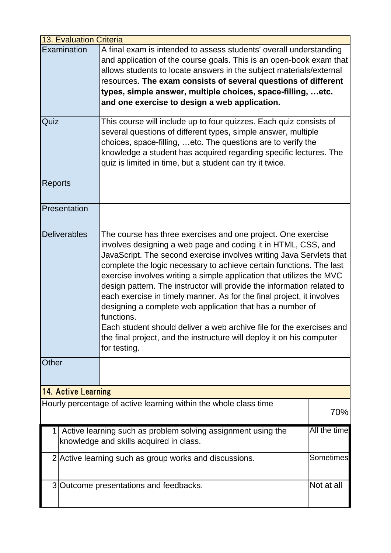| <b>13. Evaluation Criteria</b> |                                                                                                                                                                                                                                                                                                                                                                                                                                                                                                                                                                                                                                                                                                                                                                    |                                                                                                                                                                                                                                                                                                                                                                                                     |  |  |  |
|--------------------------------|--------------------------------------------------------------------------------------------------------------------------------------------------------------------------------------------------------------------------------------------------------------------------------------------------------------------------------------------------------------------------------------------------------------------------------------------------------------------------------------------------------------------------------------------------------------------------------------------------------------------------------------------------------------------------------------------------------------------------------------------------------------------|-----------------------------------------------------------------------------------------------------------------------------------------------------------------------------------------------------------------------------------------------------------------------------------------------------------------------------------------------------------------------------------------------------|--|--|--|
|                                | Examination                                                                                                                                                                                                                                                                                                                                                                                                                                                                                                                                                                                                                                                                                                                                                        | A final exam is intended to assess students' overall understanding<br>and application of the course goals. This is an open-book exam that<br>allows students to locate answers in the subject materials/external<br>resources. The exam consists of several questions of different<br>types, simple answer, multiple choices, space-filling,  etc.<br>and one exercise to design a web application. |  |  |  |
| Quiz                           |                                                                                                                                                                                                                                                                                                                                                                                                                                                                                                                                                                                                                                                                                                                                                                    | This course will include up to four quizzes. Each quiz consists of<br>several questions of different types, simple answer, multiple<br>choices, space-filling, etc. The questions are to verify the<br>knowledge a student has acquired regarding specific lectures. The<br>quiz is limited in time, but a student can try it twice.                                                                |  |  |  |
| <b>Reports</b>                 |                                                                                                                                                                                                                                                                                                                                                                                                                                                                                                                                                                                                                                                                                                                                                                    |                                                                                                                                                                                                                                                                                                                                                                                                     |  |  |  |
|                                | Presentation                                                                                                                                                                                                                                                                                                                                                                                                                                                                                                                                                                                                                                                                                                                                                       |                                                                                                                                                                                                                                                                                                                                                                                                     |  |  |  |
|                                | Deliverables<br>The course has three exercises and one project. One exercise<br>involves designing a web page and coding it in HTML, CSS, and<br>JavaScript. The second exercise involves writing Java Servlets that<br>complete the logic necessary to achieve certain functions. The last<br>exercise involves writing a simple application that utilizes the MVC<br>design pattern. The instructor will provide the information related to<br>each exercise in timely manner. As for the final project, it involves<br>designing a complete web application that has a number of<br>functions.<br>Each student should deliver a web archive file for the exercises and<br>the final project, and the instructure will deploy it on his computer<br>for testing. |                                                                                                                                                                                                                                                                                                                                                                                                     |  |  |  |
| Other                          |                                                                                                                                                                                                                                                                                                                                                                                                                                                                                                                                                                                                                                                                                                                                                                    |                                                                                                                                                                                                                                                                                                                                                                                                     |  |  |  |
| 14. Active Learning            |                                                                                                                                                                                                                                                                                                                                                                                                                                                                                                                                                                                                                                                                                                                                                                    |                                                                                                                                                                                                                                                                                                                                                                                                     |  |  |  |
|                                | Hourly percentage of active learning within the whole class time<br>70%                                                                                                                                                                                                                                                                                                                                                                                                                                                                                                                                                                                                                                                                                            |                                                                                                                                                                                                                                                                                                                                                                                                     |  |  |  |
| 1                              | All the time<br>Active learning such as problem solving assignment using the<br>knowledge and skills acquired in class.                                                                                                                                                                                                                                                                                                                                                                                                                                                                                                                                                                                                                                            |                                                                                                                                                                                                                                                                                                                                                                                                     |  |  |  |
|                                | <b>Sometimes</b><br>2 Active learning such as group works and discussions.                                                                                                                                                                                                                                                                                                                                                                                                                                                                                                                                                                                                                                                                                         |                                                                                                                                                                                                                                                                                                                                                                                                     |  |  |  |
|                                | Not at all<br>3 Outcome presentations and feedbacks.                                                                                                                                                                                                                                                                                                                                                                                                                                                                                                                                                                                                                                                                                                               |                                                                                                                                                                                                                                                                                                                                                                                                     |  |  |  |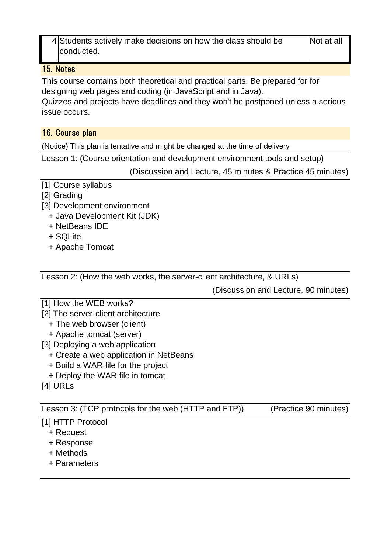4 Students actively make decisions on how the class should be | Not at all conducted.

## 15. Notes

This course contains both theoretical and practical parts. Be prepared for for designing web pages and coding (in JavaScript and in Java).

Quizzes and projects have deadlines and they won't be postponed unless a serious issue occurs.

# 16. Course plan

(Notice) This plan is tentative and might be changed at the time of delivery

Lesson 1: (Course orientation and development environment tools and setup)

(Discussion and Lecture, 45 minutes & Practice 45 minutes)

- [1] Course syllabus
- [2] Grading
- [3] Development environment
	- + Java Development Kit (JDK)
	- + NetBeans IDE
	- + SQLite
	- + Apache Tomcat

Lesson 2: (How the web works, the server-client architecture, & URLs)

(Discussion and Lecture, 90 minutes)

- [1] How the WEB works?
- [2] The server-client architecture
	- + The web browser (client)
	- + Apache tomcat (server)

[3] Deploying a web application

- + Create a web application in NetBeans
- + Build a WAR file for the project
- + Deploy the WAR file in tomcat

[4] URLs

Lesson 3: (TCP protocols for the web (HTTP and FTP)) (Practice 90 minutes)

# [1] HTTP Protocol

- + Request
- + Response
- + Methods
- + Parameters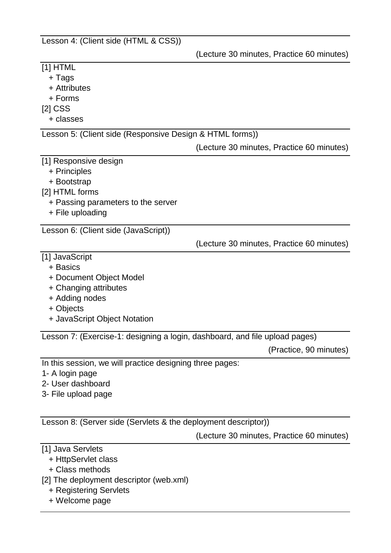Lesson 4: (Client side (HTML & CSS))

(Lecture 30 minutes, Practice 60 minutes)

| $[1]$ HTML                                                                  |                                           |
|-----------------------------------------------------------------------------|-------------------------------------------|
| + Tags                                                                      |                                           |
| + Attributes                                                                |                                           |
| + Forms                                                                     |                                           |
| $[2]$ CSS                                                                   |                                           |
| + classes                                                                   |                                           |
| Lesson 5: (Client side (Responsive Design & HTML forms))                    |                                           |
|                                                                             | (Lecture 30 minutes, Practice 60 minutes) |
| [1] Responsive design                                                       |                                           |
| + Principles                                                                |                                           |
| + Bootstrap                                                                 |                                           |
| [2] HTML forms                                                              |                                           |
| + Passing parameters to the server                                          |                                           |
| + File uploading                                                            |                                           |
| Lesson 6: (Client side (JavaScript))                                        |                                           |
|                                                                             | (Lecture 30 minutes, Practice 60 minutes) |
|                                                                             |                                           |
| [1] JavaScript<br>+ Basics                                                  |                                           |
| + Document Object Model                                                     |                                           |
|                                                                             |                                           |
| + Changing attributes<br>+ Adding nodes                                     |                                           |
| + Objects                                                                   |                                           |
| + JavaScript Object Notation                                                |                                           |
|                                                                             |                                           |
| Lesson 7: (Exercise-1: designing a login, dashboard, and file upload pages) |                                           |
|                                                                             | (Practice, 90 minutes)                    |
| In this session, we will practice designing three pages:                    |                                           |
| 1- A login page                                                             |                                           |
| 2- User dashboard                                                           |                                           |
| 3- File upload page                                                         |                                           |
|                                                                             |                                           |
|                                                                             |                                           |

Lesson 8: (Server side (Servlets & the deployment descriptor))

(Lecture 30 minutes, Practice 60 minutes)

- [1] Java Servlets
	- + HttpServlet class
	- + Class methods
- [2] The deployment descriptor (web.xml)
	- + Registering Servlets
	- + Welcome page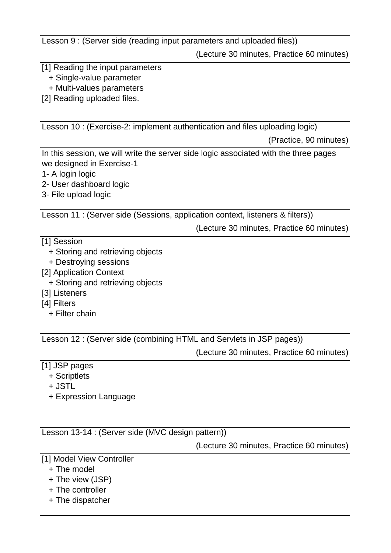Lesson 9 : (Server side (reading input parameters and uploaded files))

(Lecture 30 minutes, Practice 60 minutes)

[1] Reading the input parameters

+ Single-value parameter

+ Multi-values parameters

[2] Reading uploaded files.

Lesson 10 : (Exercise-2: implement authentication and files uploading logic)

(Practice, 90 minutes)

In this session, we will write the server side logic associated with the three pages we designed in Exercise-1

- 1- A login logic
- 2- User dashboard logic
- 3- File upload logic

Lesson 11 : (Server side (Sessions, application context, listeners & filters))

(Lecture 30 minutes, Practice 60 minutes)

- [1] Session
	- + Storing and retrieving objects
	- + Destroying sessions
- [2] Application Context
	- + Storing and retrieving objects
- [3] Listeners
- [4] Filters
	- + Filter chain

Lesson 12 : (Server side (combining HTML and Servlets in JSP pages))

(Lecture 30 minutes, Practice 60 minutes)

- [1] JSP pages
	- + Scriptlets
	- + JSTL
	- + Expression Language

Lesson 13-14 : (Server side (MVC design pattern))

(Lecture 30 minutes, Practice 60 minutes)

- [1] Model View Controller
	- + The model
	- + The view (JSP)
	- + The controller
	- + The dispatcher